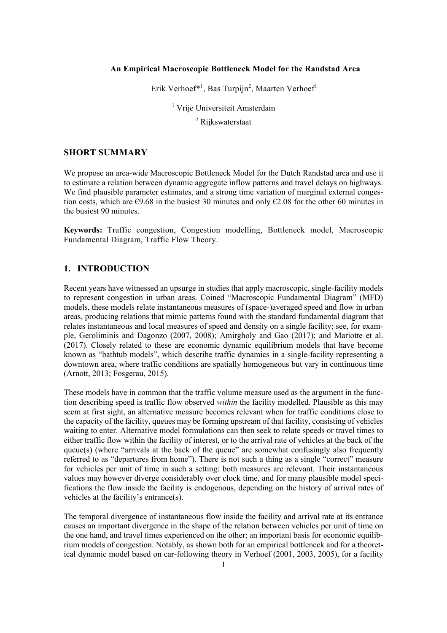#### **An Empirical Macroscopic Bottleneck Model for the Randstad Area**

Erik Verhoef\*<sup>1</sup>, Bas Turpijn<sup>2</sup>, Maarten Verhoef<sup>1</sup>

<sup>1</sup> Vrije Universiteit Amsterdam

<sup>2</sup> Rijkswaterstaat

# **SHORT SUMMARY**

We propose an area-wide Macroscopic Bottleneck Model for the Dutch Randstad area and use it to estimate a relation between dynamic aggregate inflow patterns and travel delays on highways. We find plausible parameter estimates, and a strong time variation of marginal external congestion costs, which are  $\epsilon$ 9.68 in the busiest 30 minutes and only  $\epsilon$ 2.08 for the other 60 minutes in the busiest 90 minutes.

**Keywords:** Traffic congestion, Congestion modelling, Bottleneck model, Macroscopic Fundamental Diagram, Traffic Flow Theory.

## **1. INTRODUCTION**

Recent years have witnessed an upsurge in studies that apply macroscopic, single-facility models to represent congestion in urban areas. Coined "Macroscopic Fundamental Diagram" (MFD) models, these models relate instantaneous measures of (space-)averaged speed and flow in urban areas, producing relations that mimic patterns found with the standard fundamental diagram that relates instantaneous and local measures of speed and density on a single facility; see, for example, Geroliminis and Dagonzo (2007, 2008); Amirgholy and Gao (2017); and Mariotte et al. (2017). Closely related to these are economic dynamic equilibrium models that have become known as "bathtub models", which describe traffic dynamics in a single-facility representing a downtown area, where traffic conditions are spatially homogeneous but vary in continuous time (Arnott, 2013; Fosgerau, 2015).

These models have in common that the traffic volume measure used as the argument in the function describing speed is traffic flow observed *within* the facility modelled. Plausible as this may seem at first sight, an alternative measure becomes relevant when for traffic conditions close to the capacity of the facility, queues may be forming upstream of that facility, consisting of vehicles waiting to enter. Alternative model formulations can then seek to relate speeds or travel times to either traffic flow within the facility of interest, or to the arrival rate of vehicles at the back of the queue(s) (where "arrivals at the back of the queue" are somewhat confusingly also frequently referred to as "departures from home"). There is not such a thing as a single "correct" measure for vehicles per unit of time in such a setting: both measures are relevant. Their instantaneous values may however diverge considerably over clock time, and for many plausible model specifications the flow inside the facility is endogenous, depending on the history of arrival rates of vehicles at the facility's entrance(s).

The temporal divergence of instantaneous flow inside the facility and arrival rate at its entrance causes an important divergence in the shape of the relation between vehicles per unit of time on the one hand, and travel times experienced on the other; an important basis for economic equilibrium models of congestion. Notably, as shown both for an empirical bottleneck and for a theoretical dynamic model based on car-following theory in Verhoef (2001, 2003, 2005), for a facility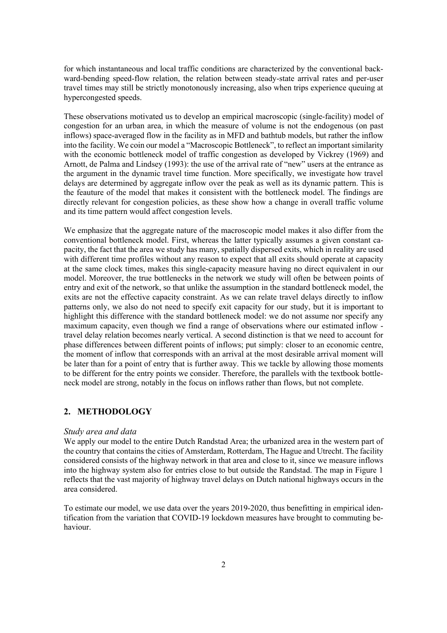for which instantaneous and local traffic conditions are characterized by the conventional backward-bending speed-flow relation, the relation between steady-state arrival rates and per-user travel times may still be strictly monotonously increasing, also when trips experience queuing at hypercongested speeds.

These observations motivated us to develop an empirical macroscopic (single-facility) model of congestion for an urban area, in which the measure of volume is not the endogenous (on past inflows) space-averaged flow in the facility as in MFD and bathtub models, but rather the inflow into the facility. We coin our model a "Macroscopic Bottleneck", to reflect an important similarity with the economic bottleneck model of traffic congestion as developed by Vickrey (1969) and Arnott, de Palma and Lindsey (1993): the use of the arrival rate of "new" users at the entrance as the argument in the dynamic travel time function. More specifically, we investigate how travel delays are determined by aggregate inflow over the peak as well as its dynamic pattern. This is the feauture of the model that makes it consistent with the bottleneck model. The findings are directly relevant for congestion policies, as these show how a change in overall traffic volume and its time pattern would affect congestion levels.

We emphasize that the aggregate nature of the macroscopic model makes it also differ from the conventional bottleneck model. First, whereas the latter typically assumes a given constant capacity, the fact that the area we study has many, spatially dispersed exits, which in reality are used with different time profiles without any reason to expect that all exits should operate at capacity at the same clock times, makes this single-capacity measure having no direct equivalent in our model. Moreover, the true bottlenecks in the network we study will often be between points of entry and exit of the network, so that unlike the assumption in the standard bottleneck model, the exits are not the effective capacity constraint. As we can relate travel delays directly to inflow patterns only, we also do not need to specify exit capacity for our study, but it is important to highlight this difference with the standard bottleneck model: we do not assume nor specify any maximum capacity, even though we find a range of observations where our estimated inflow travel delay relation becomes nearly vertical. A second distinction is that we need to account for phase differences between different points of inflows; put simply: closer to an economic centre, the moment of inflow that corresponds with an arrival at the most desirable arrival moment will be later than for a point of entry that is further away. This we tackle by allowing those moments to be different for the entry points we consider. Therefore, the parallels with the textbook bottleneck model are strong, notably in the focus on inflows rather than flows, but not complete.

#### **2. METHODOLOGY**

#### *Study area and data*

We apply our model to the entire Dutch Randstad Area; the urbanized area in the western part of the country that contains the cities of Amsterdam, Rotterdam, The Hague and Utrecht. The facility considered consists of the highway network in that area and close to it, since we measure inflows into the highway system also for entries close to but outside the Randstad. The map in Figure 1 reflects that the vast majority of highway travel delays on Dutch national highways occurs in the area considered.

To estimate our model, we use data over the years 2019-2020, thus benefitting in empirical identification from the variation that COVID-19 lockdown measures have brought to commuting behaviour.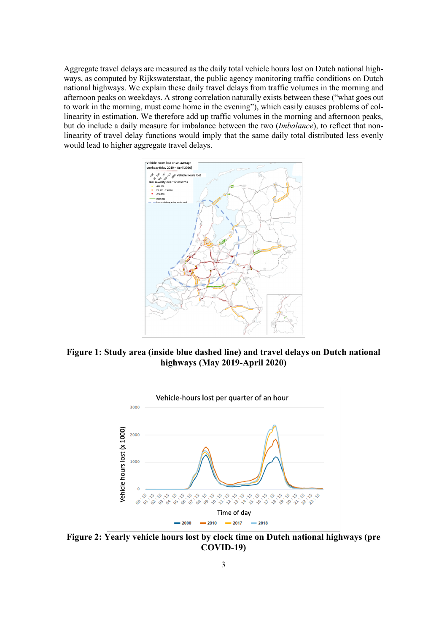Aggregate travel delays are measured as the daily total vehicle hours lost on Dutch national highways, as computed by Rijkswaterstaat, the public agency monitoring traffic conditions on Dutch national highways. We explain these daily travel delays from traffic volumes in the morning and afternoon peaks on weekdays. A strong correlation naturally exists between these ("what goes out to work in the morning, must come home in the evening"), which easily causes problems of collinearity in estimation. We therefore add up traffic volumes in the morning and afternoon peaks, but do include a daily measure for imbalance between the two (*Imbalance*), to reflect that nonlinearity of travel delay functions would imply that the same daily total distributed less evenly would lead to higher aggregate travel delays.



**Figure 1: Study area (inside blue dashed line) and travel delays on Dutch national highways (May 2019-April 2020)**



**Figure 2: Yearly vehicle hours lost by clock time on Dutch national highways (pre COVID-19)**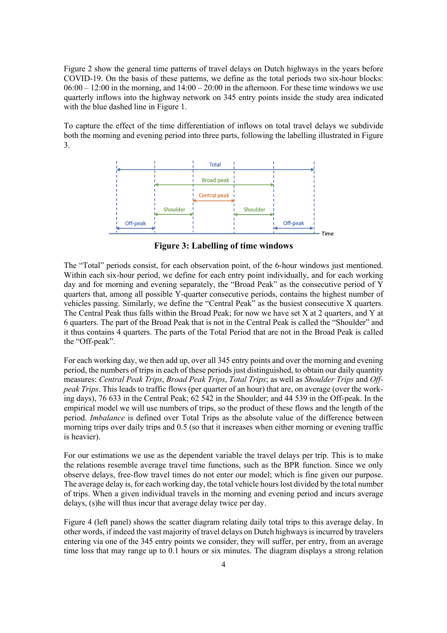Figure 2 show the general time patterns of travel delays on Dutch highways in the years before COVID-19. On the basis of these patterns, we define as the total periods two six-hour blocks:  $06:00 - 12:00$  in the morning, and  $14:00 - 20:00$  in the afternoon. For these time windows we use quarterly inflows into the highway network on 345 entry points inside the study area indicated with the blue dashed line in Figure 1.

To capture the effect of the time differentiation of inflows on total travel delays we subdivide both the morning and evening period into three parts, following the labelling illustrated in Figure 3.



**Figure 3: Labelling of time windows**

The "Total" periods consist, for each observation point, of the 6-hour windows just mentioned. Within each six-hour period, we define for each entry point individually, and for each working day and for morning and evening separately, the "Broad Peak" as the consecutive period of Y quarters that, among all possible Y-quarter consecutive periods, contains the highest number of vehicles passing. Similarly, we define the "Central Peak" as the busiest consecutive X quarters. The Central Peak thus falls within the Broad Peak; for now we have set X at 2 quarters, and Y at 6 quarters. The part of the Broad Peak that is not in the Central Peak is called the "Shoulder" and it thus contains 4 quarters. The parts of the Total Period that are not in the Broad Peak is called the "Off-peak".

For each working day, we then add up, over all 345 entry points and over the morning and evening period, the numbers of trips in each of these periods just distinguished, to obtain our daily quantity measures: *Central Peak Trips*, *Broad Peak Trips*, *Total Trips*; as well as *Shoulder Trips* and *Offpeak Trips*. This leads to traffic flows (per quarter of an hour) that are, on average (over the working days), 76 633 in the Central Peak; 62 542 in the Shoulder; and 44 539 in the Off-peak. In the empirical model we will use numbers of trips, so the product of these flows and the length of the period. *Imbalance* is defined over Total Trips as the absolute value of the difference between morning trips over daily trips and 0.5 (so that it increases when either morning or evening traffic is heavier).

For our estimations we use as the dependent variable the travel delays per trip. This is to make the relations resemble average travel time functions, such as the BPR function. Since we only observe delays, free-flow travel times do not enter our model; which is fine given our purpose. The average delay is, for each working day, the total vehicle hours lost divided by the total number of trips. When a given individual travels in the morning and evening period and incurs average delays, (s)he will thus incur that average delay twice per day.

Figure 4 (left panel) shows the scatter diagram relating daily total trips to this average delay. In other words, if indeed the vast majority of travel delays on Dutch highways is incurred by travelers entering via one of the 345 entry points we consider, they will suffer, per entry, from an average time loss that may range up to 0.1 hours or six minutes. The diagram displays a strong relation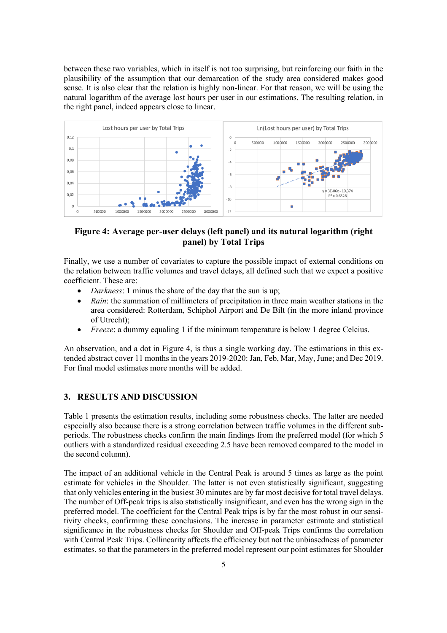between these two variables, which in itself is not too surprising, but reinforcing our faith in the plausibility of the assumption that our demarcation of the study area considered makes good sense. It is also clear that the relation is highly non-linear. For that reason, we will be using the natural logarithm of the average lost hours per user in our estimations. The resulting relation, in the right panel, indeed appears close to linear.



## **Figure 4: Average per-user delays (left panel) and its natural logarithm (right panel) by Total Trips**

Finally, we use a number of covariates to capture the possible impact of external conditions on the relation between traffic volumes and travel delays, all defined such that we expect a positive coefficient. These are:

- *Darkness*: 1 minus the share of the day that the sun is up;
- *Rain*: the summation of millimeters of precipitation in three main weather stations in the area considered: Rotterdam, Schiphol Airport and De Bilt (in the more inland province of Utrecht);
- *Freeze*: a dummy equaling 1 if the minimum temperature is below 1 degree Celcius.

An observation, and a dot in Figure 4, is thus a single working day. The estimations in this extended abstract cover 11 months in the years 2019-2020: Jan, Feb, Mar, May, June; and Dec 2019. For final model estimates more months will be added.

## **3. RESULTS AND DISCUSSION**

Table 1 presents the estimation results, including some robustness checks. The latter are needed especially also because there is a strong correlation between traffic volumes in the different subperiods. The robustness checks confirm the main findings from the preferred model (for which 5 outliers with a standardized residual exceeding 2.5 have been removed compared to the model in the second column).

The impact of an additional vehicle in the Central Peak is around 5 times as large as the point estimate for vehicles in the Shoulder. The latter is not even statistically significant, suggesting that only vehicles entering in the busiest 30 minutes are by far most decisive for total travel delays. The number of Off-peak trips is also statistically insignificant, and even has the wrong sign in the preferred model. The coefficient for the Central Peak trips is by far the most robust in our sensitivity checks, confirming these conclusions. The increase in parameter estimate and statistical significance in the robustness checks for Shoulder and Off-peak Trips confirms the correlation with Central Peak Trips. Collinearity affects the efficiency but not the unbiasedness of parameter estimates, so that the parameters in the preferred model represent our point estimates for Shoulder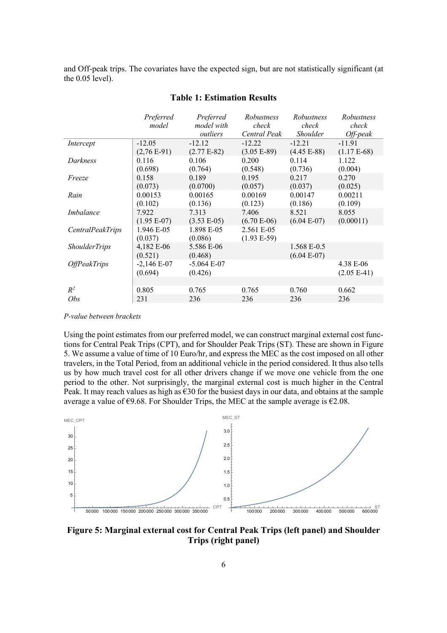and Off-peak trips. The covariates have the expected sign, but are not statistically significant (at the 0.05 level).

|                         | Preferred     | Preferred     | Robustness    | Robustness      | Robustness    |
|-------------------------|---------------|---------------|---------------|-----------------|---------------|
|                         | model         | model with    | check         | check           | check         |
|                         |               | outliers      | Central Peak  | <b>Shoulder</b> | $Off$ -peak   |
| Intercept               | $-12.05$      | $-12.12$      | $-12.22$      | $-12.21$        | $-11.91$      |
|                         | $(2,76E-91)$  | $(2.77E-82)$  | $(3.05 E-89)$ | $(4.45 E-88)$   | $(1.17E-68)$  |
| Darkness                | 0.116         | 0.106         | 0.200         | 0.114           | 1.122         |
|                         | (0.698)       | (0.764)       | (0.548)       | (0.736)         | (0.004)       |
| Freeze                  | 0.158         | 0.189         | 0.195         | 0.217           | 0.270         |
|                         | (0.073)       | (0.0700)      | (0.057)       | (0.037)         | (0.025)       |
| Rain                    | 0.00153       | 0.00165       | 0.00169       | 0.00147         | 0.00211       |
|                         | (0.102)       | (0.136)       | (0.123)       | (0.186)         | (0.109)       |
| Imbalance               | 7.922         | 7.313         | 7.406         | 8.521           | 8.055         |
|                         | $(1.95 E-07)$ | $(3.53 E-05)$ | $(6.70 E-06)$ | $(6.04 E-07)$   | (0.00011)     |
| <b>CentralPeakTrips</b> | 1.946 E-05    | 1.898 E-05    | 2.561 E-05    |                 |               |
|                         | (0.037)       | (0.086)       | $(1.93 E-59)$ |                 |               |
| <b>ShoulderTrips</b>    | 4,182 E-06    | 5.586 E-06    |               | 1.568 E-0.5     |               |
|                         | (0.521)       | (0.468)       |               | $(6.04 E-07)$   |               |
| <b>OffPeakTrips</b>     | $-2,146E-07$  | $-5.064 E-07$ |               |                 | 4.38 E-06     |
|                         | (0.694)       | (0.426)       |               |                 | $(2.05 E-41)$ |
|                         |               |               |               |                 |               |
| $R^2$                   | 0.805         | 0.765         | 0.765         | 0.760           | 0.662         |
| Obs                     | 231           | 236           | 236           | 236             | 236           |

## **Table 1: Estimation Results**

*P-value between brackets*

Using the point estimates from our preferred model, we can construct marginal external cost functions for Central Peak Trips (CPT), and for Shoulder Peak Trips (ST). These are shown in Figure 5. We assume a value of time of 10 Euro/hr, and express the MEC as the cost imposed on all other travelers, in the Total Period, from an additional vehicle in the period considered. It thus also tells us by how much travel cost for all other drivers change if we move one vehicle from the one period to the other. Not surprisingly, the marginal external cost is much higher in the Central Peak. It may reach values as high as  $\epsilon$ 30 for the busiest days in our data, and obtains at the sample average a value of  $\epsilon$ 9.68. For Shoulder Trips, the MEC at the sample average is  $\epsilon$ 2.08.



**Figure 5: Marginal external cost for Central Peak Trips (left panel) and Shoulder Trips (right panel)**